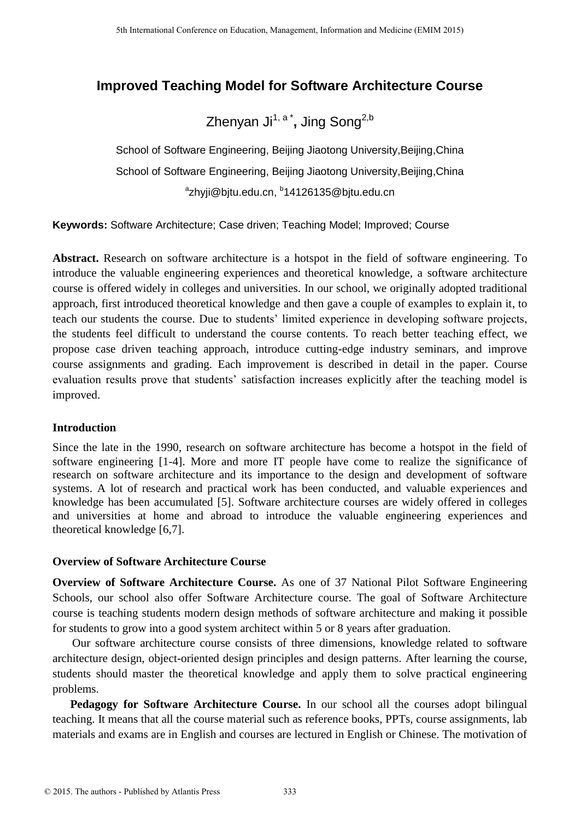# **Improved Teaching Model for Software Architecture Course**

# Zhenyan Ji<sup>1, a</sup> \*, Jing Song<sup>2,b</sup>

School of Software Engineering, Beijing Jiaotong University,Beijing,China School of Software Engineering, Beijing Jiaotong University,Beijing,China <sup>a</sup>zhyji@bjtu.edu.cn, <sup>b</sup>14126135@bjtu.edu.cn

**Keywords:** Software Architecture; Case driven; Teaching Model; Improved; Course

**Abstract.** Research on software architecture is a hotspot in the field of software engineering. To introduce the valuable engineering experiences and theoretical knowledge, a software architecture course is offered widely in colleges and universities. In our school, we originally adopted traditional approach, first introduced theoretical knowledge and then gave a couple of examples to explain it, to teach our students the course. Due to students' limited experience in developing software projects, the students feel difficult to understand the course contents. To reach better teaching effect, we propose case driven teaching approach, introduce cutting-edge industry seminars, and improve course assignments and grading. Each improvement is described in detail in the paper. Course evaluation results prove that students' satisfaction increases explicitly after the teaching model is improved.

#### **Introduction**

Since the late in the 1990, research on software architecture has become a hotspot in the field of software engineering [1-4]. More and more IT people have come to realize the significance of research on software architecture and its importance to the design and development of software systems. A lot of research and practical work has been conducted, and valuable experiences and knowledge has been accumulated [5]. Software architecture courses are widely offered in colleges and universities at home and abroad to introduce the valuable engineering experiences and theoretical knowledge [6,7].

## **Overview of Software Architecture Course**

**Overview of Software Architecture Course.** As one of 37 National Pilot Software Engineering Schools, our school also offer Software Architecture course. The goal of Software Architecture course is teaching students modern design methods of software architecture and making it possible for students to grow into a good system architect within 5 or 8 years after graduation.

 Our software architecture course consists of three dimensions, knowledge related to software architecture design, object-oriented design principles and design patterns. After learning the course, students should master the theoretical knowledge and apply them to solve practical engineering problems.

 **Pedagogy for Software Architecture Course.** In our school all the courses adopt bilingual teaching. It means that all the course material such as reference books, PPTs, course assignments, lab materials and exams are in English and courses are lectured in English or Chinese. The motivation of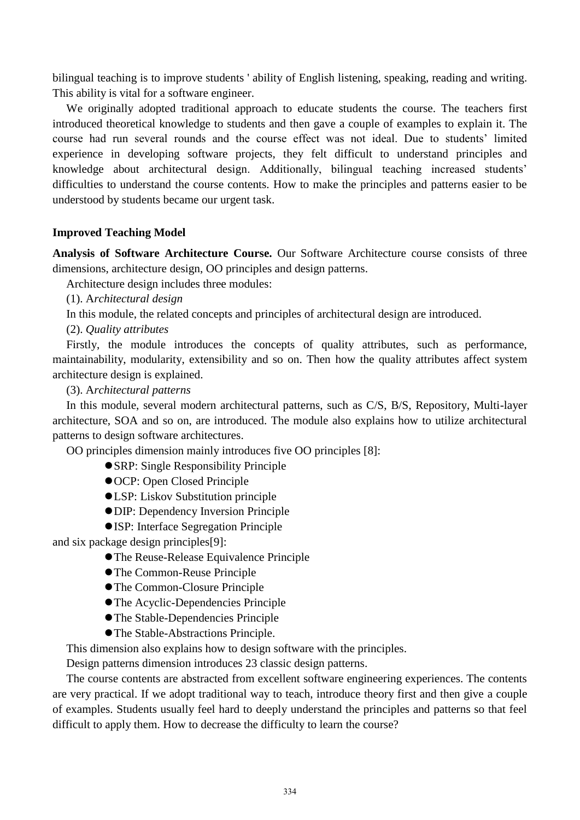bilingual teaching is to improve students ' ability of English listening, speaking, reading and writing. This ability is vital for a software engineer.

We originally adopted traditional approach to educate students the course. The teachers first introduced theoretical knowledge to students and then gave a couple of examples to explain it. The course had run several rounds and the course effect was not ideal. Due to students' limited experience in developing software projects, they felt difficult to understand principles and knowledge about architectural design. Additionally, bilingual teaching increased students' difficulties to understand the course contents. How to make the principles and patterns easier to be understood by students became our urgent task.

#### **Improved Teaching Model**

**Analysis of Software Architecture Course.** Our Software Architecture course consists of three dimensions, architecture design, OO principles and design patterns.

Architecture design includes three modules:

(1). A*rchitectural design*

In this module, the related concepts and principles of architectural design are introduced.

(2). *Quality attributes*

Firstly, the module introduces the concepts of quality attributes, such as performance, maintainability, modularity, extensibility and so on. Then how the quality attributes affect system architecture design is explained.

(3). A*rchitectural patterns*

In this module, several modern architectural patterns, such as C/S, B/S, Repository, Multi-layer architecture, SOA and so on, are introduced. The module also explains how to utilize architectural patterns to design software architectures.

OO principles dimension mainly introduces five OO principles [8]:

- SRP: Single Responsibility Principle
- OCP: Open Closed Principle
- LSP: Liskov Substitution principle
- DIP: Dependency Inversion Principle
- ISP: Interface Segregation Principle

and six package design principles[9]:

- The Reuse-Release Equivalence Principle
- The Common-Reuse Principle
- The Common-Closure Principle
- The Acyclic-Dependencies Principle
- The Stable-Dependencies Principle
- The Stable-Abstractions Principle.

This dimension also explains how to design software with the principles.

Design patterns dimension introduces 23 classic design patterns.

The course contents are abstracted from excellent software engineering experiences. The contents are very practical. If we adopt traditional way to teach, introduce theory first and then give a couple of examples. Students usually feel hard to deeply understand the principles and patterns so that feel difficult to apply them. How to decrease the difficulty to learn the course?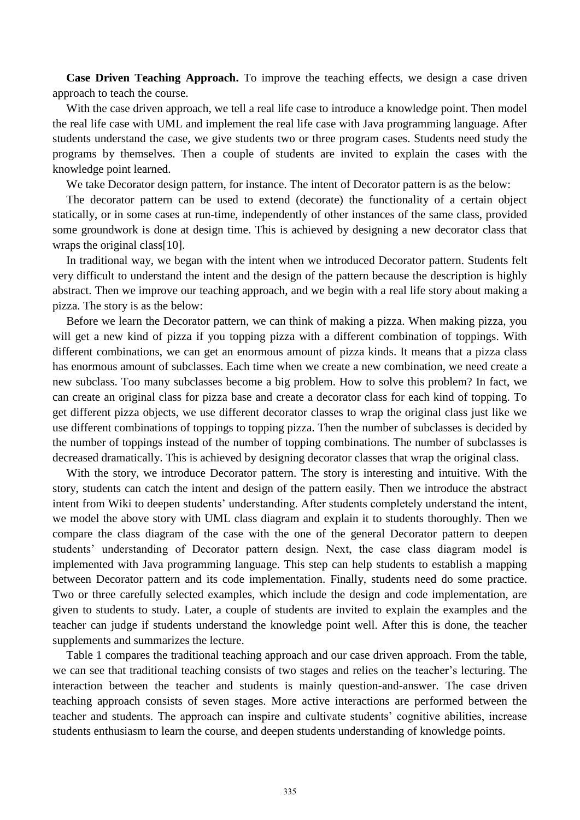**Case Driven Teaching Approach.** To improve the teaching effects, we design a case driven approach to teach the course.

With the case driven approach, we tell a real life case to introduce a knowledge point. Then model the real life case with UML and implement the real life case with Java programming language. After students understand the case, we give students two or three program cases. Students need study the programs by themselves. Then a couple of students are invited to explain the cases with the knowledge point learned.

We take Decorator design pattern, for instance. The intent of Decorator pattern is as the below:

The decorator pattern can be used to extend (decorate) the functionality of a certain object statically, or in some cases at [run-time,](http://en.wikipedia.org/wiki/Run_time_(program_lifecycle_phase)) independently of other instances of the same [class,](http://en.wikipedia.org/wiki/Class_(computer_science)) provided some groundwork is done at design time. This is achieved by designing a new decorator class that [wraps](http://en.wikipedia.org/wiki/Wrapper_pattern) the original class[10].

In traditional way, we began with the intent when we introduced Decorator pattern. Students felt very difficult to understand the intent and the design of the pattern because the description is highly abstract. Then we improve our teaching approach, and we begin with a real life story about making a pizza. The story is as the below:

Before we learn the Decorator pattern, we can think of making a pizza. When making pizza, you will get a new kind of pizza if you topping pizza with a different combination of toppings. With different combinations, we can get an enormous amount of pizza kinds. It means that a pizza class has enormous amount of subclasses. Each time when we create a new combination, we need create a new subclass. Too many subclasses become a big problem. How to solve this problem? In fact, we can create an original class for pizza base and create a decorator class for each kind of topping. To get different pizza objects, we use different decorator classes to wrap the original class just like we use different combinations of toppings to topping pizza. Then the number of subclasses is decided by the number of toppings instead of the number of topping combinations. The number of subclasses is decreased dramatically. This is achieved by designing decorator classes that wrap the original class.

With the story, we introduce Decorator pattern. The story is interesting and intuitive. With the story, students can catch the intent and design of the pattern easily. Then we introduce the abstract intent from Wiki to deepen students' understanding. After students completely understand the intent, we model the above story with UML class diagram and explain it to students thoroughly. Then we compare the class diagram of the case with the one of the general Decorator pattern to deepen students' understanding of Decorator pattern design. Next, the case class diagram model is implemented with Java programming language. This step can help students to establish a mapping between Decorator pattern and its code implementation. Finally, students need do some practice. Two or three carefully selected examples, which include the design and code implementation, are given to students to study. Later, a couple of students are invited to explain the examples and the teacher can judge if students understand the knowledge point well. After this is done, the teacher supplements and summarizes the lecture.

Table 1 compares the traditional teaching approach and our case driven approach. From the table, we can see that traditional teaching consists of two stages and relies on the teacher's lecturing. The interaction between the teacher and students is mainly question-and-answer. The case driven teaching approach consists of seven stages. More active interactions are performed between the teacher and students. The approach can inspire and cultivate students' cognitive abilities, increase students enthusiasm to learn the course, and deepen students understanding of knowledge points.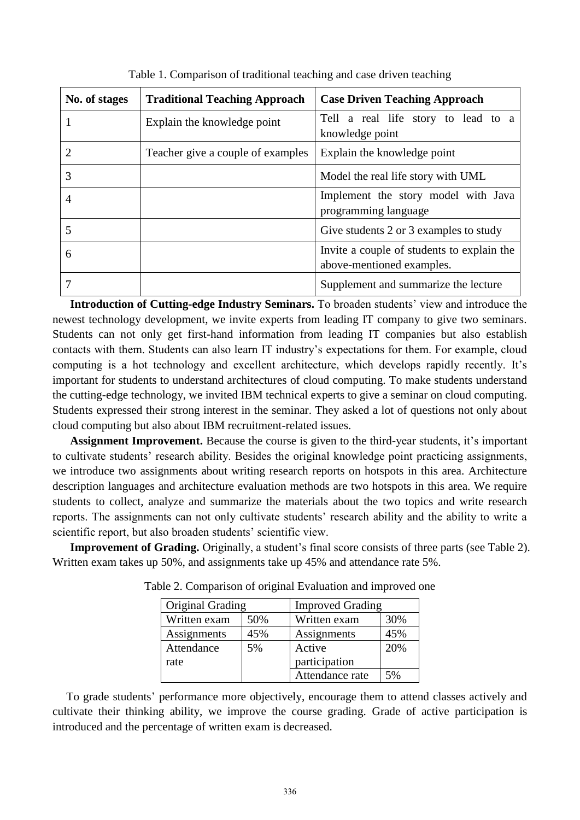| No. of stages | <b>Traditional Teaching Approach</b> | <b>Case Driven Teaching Approach</b>                                    |  |  |
|---------------|--------------------------------------|-------------------------------------------------------------------------|--|--|
|               | Explain the knowledge point          | Tell a real life story to lead to a<br>knowledge point                  |  |  |
|               | Teacher give a couple of examples    | Explain the knowledge point                                             |  |  |
| 3             |                                      | Model the real life story with UML                                      |  |  |
|               |                                      | Implement the story model with Java<br>programming language             |  |  |
|               |                                      | Give students 2 or 3 examples to study                                  |  |  |
| 6             |                                      | Invite a couple of students to explain the<br>above-mentioned examples. |  |  |
|               |                                      | Supplement and summarize the lecture                                    |  |  |

Table 1. Comparison of traditional teaching and case driven teaching

 **Introduction of Cutting-edge Industry Seminars.** To broaden students' view and introduce the newest technology development, we invite experts from leading IT company to give two seminars. Students can not only get first-hand information from leading IT companies but also establish contacts with them. Students can also learn IT industry's expectations for them. For example, cloud computing is a hot technology and excellent architecture, which develops rapidly recently. It's important for students to understand architectures of cloud computing. To make students understand the cutting-edge technology, we invited IBM technical experts to give a seminar on cloud computing. Students expressed their strong interest in the seminar. They asked a lot of questions not only about cloud computing but also about IBM recruitment-related issues.

 **Assignment Improvement.** Because the course is given to the third-year students, it's important to cultivate students' research ability. Besides the original knowledge point practicing assignments, we introduce two assignments about writing research reports on hotspots in this area. Architecture description languages and architecture evaluation methods are two hotspots in this area. We require students to collect, analyze and summarize the materials about the two topics and write research reports. The assignments can not only cultivate students' research ability and the ability to write a scientific report, but also broaden students' scientific view.

 **Improvement of Grading.** Originally, a student's final score consists of three parts (see Table 2). Written exam takes up 50%, and assignments take up 45% and attendance rate 5%.

| Original Grading |     | <b>Improved Grading</b> |     |
|------------------|-----|-------------------------|-----|
| Written exam     | 50% | Written exam            | 30% |
| Assignments      | 45% | Assignments             | 45% |
| Attendance       | 5%  | Active                  | 20% |
| rate             |     | participation           |     |
|                  |     | Attendance rate         | 5%  |

Table 2. Comparison of original Evaluation and improved one

To grade students' performance more objectively, encourage them to attend classes actively and cultivate their thinking ability, we improve the course grading. Grade of active participation is introduced and the percentage of written exam is decreased.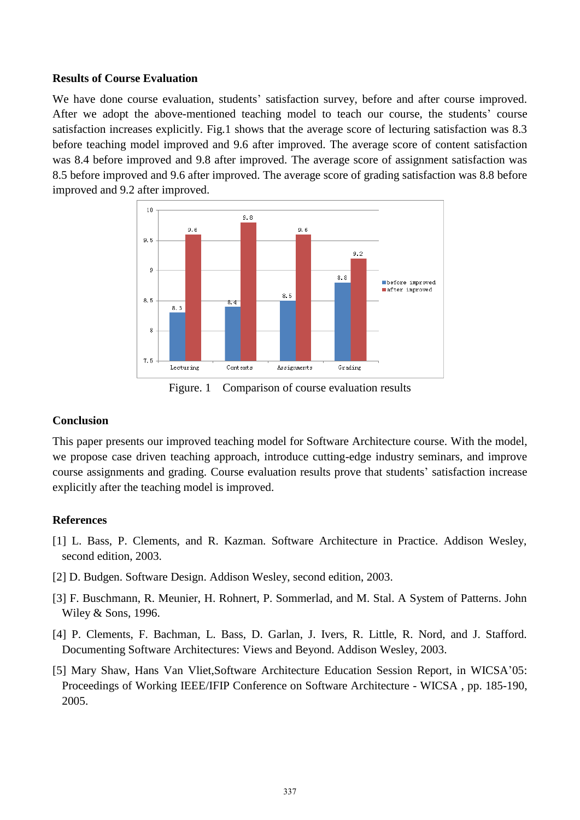### **Results of Course Evaluation**

We have done course evaluation, students' satisfaction survey, before and after course improved. After we adopt the above-mentioned teaching model to teach our course, the students' course satisfaction increases explicitly. Fig.1 shows that the average score of lecturing satisfaction was 8.3 before teaching model improved and 9.6 after improved. The average score of content satisfaction was 8.4 before improved and 9.8 after improved. The average score of assignment satisfaction was 8.5 before improved and 9.6 after improved. The average score of grading satisfaction was 8.8 before improved and 9.2 after improved.



Figure. 1 Comparison of course evaluation results

#### **Conclusion**

This paper presents our improved teaching model for Software Architecture course. With the model, we propose case driven teaching approach, introduce cutting-edge industry seminars, and improve course assignments and grading. Course evaluation results prove that students' satisfaction increase explicitly after the teaching model is improved.

#### **References**

- [1] L. Bass, P. Clements, and R. Kazman. Software Architecture in Practice. Addison Wesley, second edition, 2003.
- [2] D. Budgen. Software Design. Addison Wesley, second edition, 2003.
- [3] F. Buschmann, R. Meunier, H. Rohnert, P. Sommerlad, and M. Stal. A System of Patterns. John Wiley & Sons, 1996.
- [4] P. Clements, F. Bachman, L. Bass, D. Garlan, J. Ivers, R. Little, R. Nord, and J. Stafford. Documenting Software Architectures: Views and Beyond. Addison Wesley, 2003.
- [5] [Mary Shaw,](http://academic.research.microsoft.com/Author/1370132/mary-shaw) [Hans Van Vliet,](http://academic.research.microsoft.com/Author/478817/hans-willem-van-vliet)Software Architecture Education Session Report, in WICSA'05: Proceedings of [Working IEEE/IFIP Conference on Software Architecture - WICSA](http://academic.research.microsoft.com/Conference/492/wicsa-working-ieee-ifip-conference-on-software-architecture) , pp. 185-190, 2005.